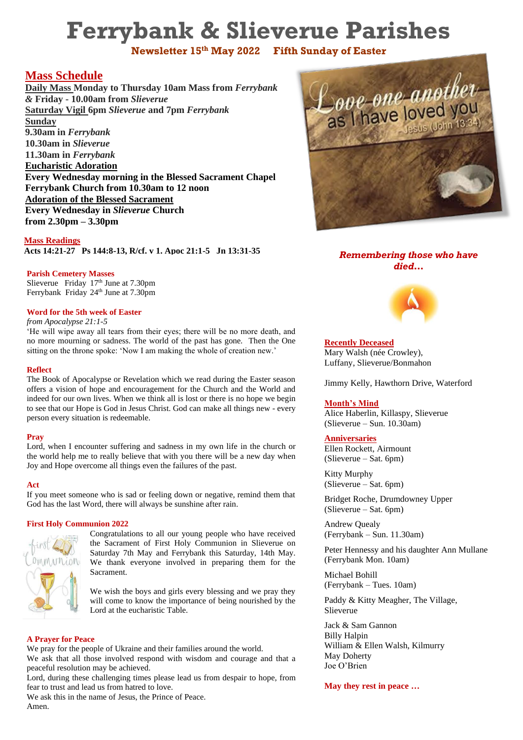# **Ferrybank & Slieverue Parishes**

**Newsletter 15th May 2022 Fifth Sunday of Easter**

# **Mass Schedule**

**Daily Mass Monday to Thursday 10am Mass from** *Ferrybank &* **Friday - 10.00am from** *Slieverue* **Saturday Vigil 6pm** *Slieverue* **and 7pm** *Ferrybank*  **Sunday 9.30am in** *Ferrybank*  **10.30am in** *Slieverue*  **11.30am in** *Ferrybank* **Eucharistic Adoration Every Wednesday morning in the Blessed Sacrament Chapel Ferrybank Church from 10.30am to 12 noon Adoration of the Blessed Sacrament Every Wednesday in** *Slieverue* **Church from 2.30pm – 3.30pm**

**Mass Readings Acts 14:21-27 Ps 144:8-13, R/cf. v 1. Apoc 21:1-5 Jn 13:31-35**

## **Parish Cemetery Masses**

Slieverue Friday  $17<sup>th</sup>$  June at 7.30pm Ferrybank Friday 24<sup>th</sup> June at 7.30pm

## **Word for the 5th week of Easter**

*from Apocalypse 21:1-5*

'He will wipe away all tears from their eyes; there will be no more death, and no more mourning or sadness. The world of the past has gone. Then the One sitting on the throne spoke: 'Now I am making the whole of creation new.'

## **Reflect**

The Book of Apocalypse or Revelation which we read during the Easter season offers a vision of hope and encouragement for the Church and the World and indeed for our own lives. When we think all is lost or there is no hope we begin to see that our Hope is God in Jesus Christ. God can make all things new - every person every situation is redeemable.

## **Pray**

Lord, when I encounter suffering and sadness in my own life in the church or the world help me to really believe that with you there will be a new day when Joy and Hope overcome all things even the failures of the past.

## **Act**

If you meet someone who is sad or feeling down or negative, remind them that God has the last Word, there will always be sunshine after rain.

## **First Holy Communion 2022**



Congratulations to all our young people who have received the Sacrament of First Holy Communion in Slieverue on Saturday 7th May and Ferrybank this Saturday, 14th May. We thank everyone involved in preparing them for the Sacrament.

We wish the boys and girls every blessing and we pray they will come to know the importance of being nourished by the Lord at the eucharistic Table.

## **A Prayer for Peace**

We pray for the people of Ukraine and their families around the world. We ask that all those involved respond with wisdom and courage and that a

peaceful resolution may be achieved. Lord, during these challenging times please lead us from despair to hope, from fear to trust and lead us from hatred to love.

We ask this in the name of Jesus, the Prince of Peace. Amen.



## *Remembering those who have died…*



**Recently Deceased** Mary Walsh (née Crowley), Luffany, Slieverue/Bonmahon

Jimmy Kelly, Hawthorn Drive, Waterford

## **Month's Mind**

Alice Haberlin, Killaspy, Slieverue (Slieverue – Sun. 10.30am)

## **Anniversaries**

Ellen Rockett, Airmount (Slieverue – Sat. 6pm)

Kitty Murphy (Slieverue – Sat. 6pm)

Bridget Roche, Drumdowney Upper (Slieverue – Sat. 6pm)

Andrew Quealy (Ferrybank – Sun. 11.30am)

Peter Hennessy and his daughter Ann Mullane (Ferrybank Mon. 10am)

Michael Bohill (Ferrybank – Tues. 10am)

Paddy & Kitty Meagher, The Village, Slieverue

Jack & Sam Gannon Billy Halpin William & Ellen Walsh, Kilmurry May Doherty Joe O'Brien

**May they rest in peace …**